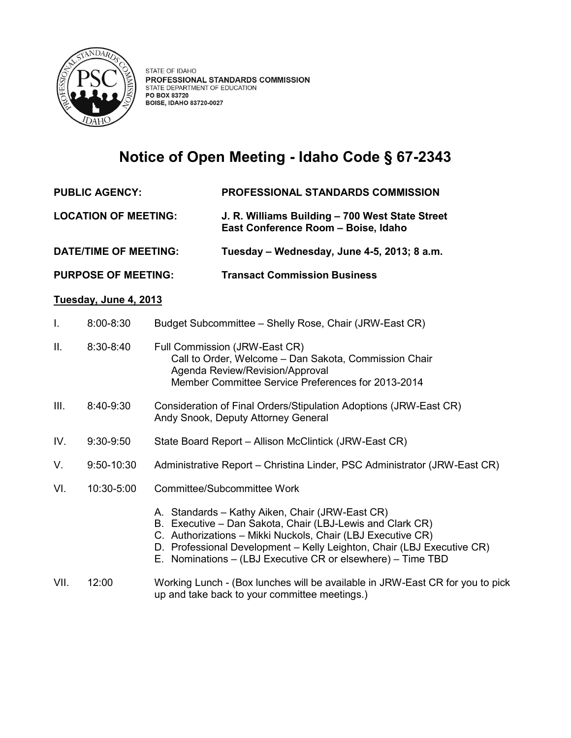

## **Notice of Open Meeting - Idaho Code § 67-2343**

- **PUBLIC AGENCY: PROFESSIONAL STANDARDS COMMISSION**
- **LOCATION OF MEETING: J. R. Williams Building – 700 West State Street East Conference Room – Boise, Idaho**

**DATE/TIME OF MEETING: Tuesday – Wednesday, June 4-5, 2013; 8 a.m.** 

**PURPOSE OF MEETING: Transact Commission Business**

## **Tuesday, June 4, 2013**

| Τ.   | $8:00 - 8:30$  | Budget Subcommittee - Shelly Rose, Chair (JRW-East CR)                                                                                                                                                                                                                                                               |
|------|----------------|----------------------------------------------------------------------------------------------------------------------------------------------------------------------------------------------------------------------------------------------------------------------------------------------------------------------|
| II.  | $8:30 - 8:40$  | Full Commission (JRW-East CR)<br>Call to Order, Welcome - Dan Sakota, Commission Chair<br>Agenda Review/Revision/Approval<br>Member Committee Service Preferences for 2013-2014                                                                                                                                      |
| III. | 8:40-9:30      | Consideration of Final Orders/Stipulation Adoptions (JRW-East CR)<br>Andy Snook, Deputy Attorney General                                                                                                                                                                                                             |
| IV.  | $9:30-9:50$    | State Board Report - Allison McClintick (JRW-East CR)                                                                                                                                                                                                                                                                |
| V.   | $9:50 - 10:30$ | Administrative Report – Christina Linder, PSC Administrator (JRW-East CR)                                                                                                                                                                                                                                            |
| VI.  | 10:30-5:00     | Committee/Subcommittee Work                                                                                                                                                                                                                                                                                          |
|      |                | A. Standards – Kathy Aiken, Chair (JRW-East CR)<br>B. Executive – Dan Sakota, Chair (LBJ-Lewis and Clark CR)<br>C. Authorizations - Mikki Nuckols, Chair (LBJ Executive CR)<br>D. Professional Development - Kelly Leighton, Chair (LBJ Executive CR)<br>E. Nominations – (LBJ Executive CR or elsewhere) – Time TBD |
| VII. | 12:00          | Working Lunch - (Box lunches will be available in JRW-East CR for you to pick<br>up and take back to your committee meetings.)                                                                                                                                                                                       |